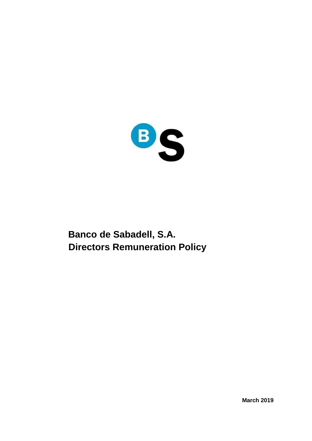

# **Banco de Sabadell, S.A. Directors Remuneration Policy**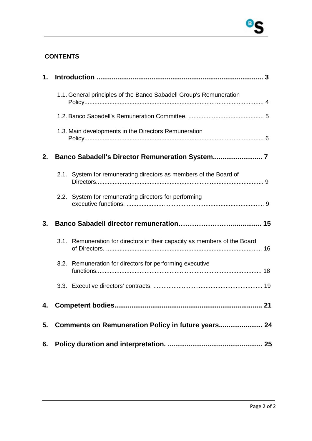### **CONTENTS**

| $\mathbf{1}$ . |                                                                           |  |
|----------------|---------------------------------------------------------------------------|--|
|                | 1.1. General principles of the Banco Sabadell Group's Remuneration        |  |
|                |                                                                           |  |
|                | 1.3. Main developments in the Directors Remuneration                      |  |
| 2.             |                                                                           |  |
|                | 2.1. System for remunerating directors as members of the Board of         |  |
|                | 2.2. System for remunerating directors for performing                     |  |
| 3.             |                                                                           |  |
|                | 3.1. Remuneration for directors in their capacity as members of the Board |  |
|                | 3.2. Remuneration for directors for performing executive                  |  |
|                |                                                                           |  |
| 4.             | <b>Competent bodies.</b><br>21                                            |  |
|                | 5. Comments on Remuneration Policy in future years 24                     |  |
| 6.             |                                                                           |  |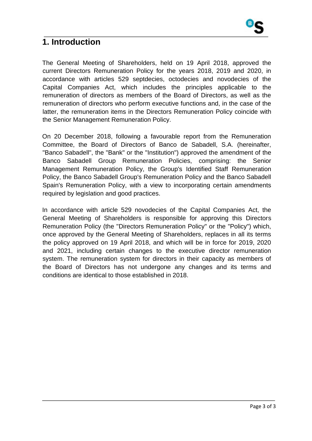

### **1. Introduction**

The General Meeting of Shareholders, held on 19 April 2018, approved the current Directors Remuneration Policy for the years 2018, 2019 and 2020, in accordance with articles 529 septdecies, octodecies and novodecies of the Capital Companies Act, which includes the principles applicable to the remuneration of directors as members of the Board of Directors, as well as the remuneration of directors who perform executive functions and, in the case of the latter, the remuneration items in the Directors Remuneration Policy coincide with the Senior Management Remuneration Policy.

On 20 December 2018, following a favourable report from the Remuneration Committee, the Board of Directors of Banco de Sabadell, S.A. (hereinafter, "Banco Sabadell", the "Bank" or the "Institution") approved the amendment of the Banco Sabadell Group Remuneration Policies, comprising: the Senior Management Remuneration Policy, the Group's Identified Staff Remuneration Policy, the Banco Sabadell Group's Remuneration Policy and the Banco Sabadell Spain's Remuneration Policy, with a view to incorporating certain amendments required by legislation and good practices.

In accordance with article 529 novodecies of the Capital Companies Act, the General Meeting of Shareholders is responsible for approving this Directors Remuneration Policy (the "Directors Remuneration Policy" or the "Policy") which, once approved by the General Meeting of Shareholders, replaces in all its terms the policy approved on 19 April 2018, and which will be in force for 2019, 2020 and 2021, including certain changes to the executive director remuneration system. The remuneration system for directors in their capacity as members of the Board of Directors has not undergone any changes and its terms and conditions are identical to those established in 2018.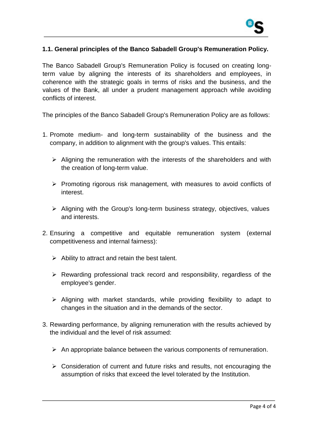

#### **1.1. General principles of the Banco Sabadell Group's Remuneration Policy.**

The Banco Sabadell Group's Remuneration Policy is focused on creating longterm value by aligning the interests of its shareholders and employees, in coherence with the strategic goals in terms of risks and the business, and the values of the Bank, all under a prudent management approach while avoiding conflicts of interest.

The principles of the Banco Sabadell Group's Remuneration Policy are as follows:

- 1. Promote medium- and long-term sustainability of the business and the company, in addition to alignment with the group's values. This entails:
	- $\triangleright$  Aligning the remuneration with the interests of the shareholders and with the creation of long-term value.
	- $\triangleright$  Promoting rigorous risk management, with measures to avoid conflicts of interest.
	- $\triangleright$  Aligning with the Group's long-term business strategy, objectives, values and interests.
- 2. Ensuring a competitive and equitable remuneration system (external competitiveness and internal fairness):
	- $\triangleright$  Ability to attract and retain the best talent.
	- $\triangleright$  Rewarding professional track record and responsibility, regardless of the employee's gender.
	- $\triangleright$  Aligning with market standards, while providing flexibility to adapt to changes in the situation and in the demands of the sector.
- 3. Rewarding performance, by aligning remuneration with the results achieved by the individual and the level of risk assumed:
	- $\triangleright$  An appropriate balance between the various components of remuneration.
	- $\triangleright$  Consideration of current and future risks and results, not encouraging the assumption of risks that exceed the level tolerated by the Institution.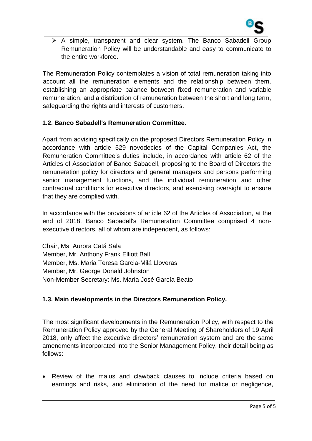

 $\triangleright$  A simple, transparent and clear system. The Banco Sabadell Group Remuneration Policy will be understandable and easy to communicate to the entire workforce.

The Remuneration Policy contemplates a vision of total remuneration taking into account all the remuneration elements and the relationship between them, establishing an appropriate balance between fixed remuneration and variable remuneration, and a distribution of remuneration between the short and long term, safeguarding the rights and interests of customers.

#### **1.2. Banco Sabadell's Remuneration Committee.**

Apart from advising specifically on the proposed Directors Remuneration Policy in accordance with article 529 novodecies of the Capital Companies Act, the Remuneration Committee's duties include, in accordance with article 62 of the Articles of Association of Banco Sabadell, proposing to the Board of Directors the remuneration policy for directors and general managers and persons performing senior management functions, and the individual remuneration and other contractual conditions for executive directors, and exercising oversight to ensure that they are complied with.

In accordance with the provisions of article 62 of the Articles of Association, at the end of 2018, Banco Sabadell's Remuneration Committee comprised 4 nonexecutive directors, all of whom are independent, as follows:

Chair, Ms. Aurora Catá Sala Member, Mr. Anthony Frank Elliott Ball Member, Ms. Maria Teresa Garcia-Milá Lloveras Member, Mr. George Donald Johnston Non-Member Secretary: Ms. María José García Beato

#### **1.3. Main developments in the Directors Remuneration Policy.**

The most significant developments in the Remuneration Policy, with respect to the Remuneration Policy approved by the General Meeting of Shareholders of 19 April 2018, only affect the executive directors' remuneration system and are the same amendments incorporated into the Senior Management Policy, their detail being as follows:

 Review of the malus and clawback clauses to include criteria based on earnings and risks, and elimination of the need for malice or negligence,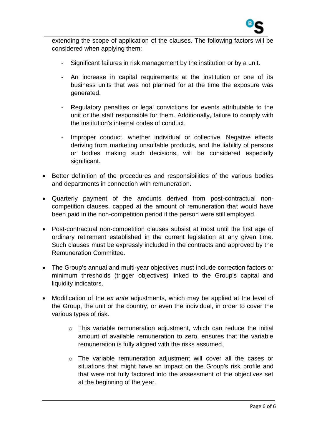

extending the scope of application of the clauses. The following factors will be considered when applying them:

- Significant failures in risk management by the institution or by a unit.
- An increase in capital requirements at the institution or one of its business units that was not planned for at the time the exposure was generated.
- Regulatory penalties or legal convictions for events attributable to the unit or the staff responsible for them. Additionally, failure to comply with the institution's internal codes of conduct.
- Improper conduct, whether individual or collective. Negative effects deriving from marketing unsuitable products, and the liability of persons or bodies making such decisions, will be considered especially significant.
- Better definition of the procedures and responsibilities of the various bodies and departments in connection with remuneration.
- Quarterly payment of the amounts derived from post-contractual noncompetition clauses, capped at the amount of remuneration that would have been paid in the non-competition period if the person were still employed.
- Post-contractual non-competition clauses subsist at most until the first age of ordinary retirement established in the current legislation at any given time. Such clauses must be expressly included in the contracts and approved by the Remuneration Committee.
- The Group's annual and multi-year objectives must include correction factors or minimum thresholds (trigger objectives) linked to the Group's capital and liquidity indicators.
- Modification of the *ex ante* adjustments, which may be applied at the level of the Group, the unit or the country, or even the individual, in order to cover the various types of risk.
	- o This variable remuneration adjustment, which can reduce the initial amount of available remuneration to zero, ensures that the variable remuneration is fully aligned with the risks assumed.
	- o The variable remuneration adjustment will cover all the cases or situations that might have an impact on the Group's risk profile and that were not fully factored into the assessment of the objectives set at the beginning of the year.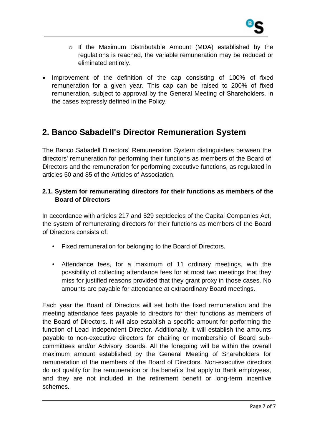

- $\circ$  If the Maximum Distributable Amount (MDA) established by the regulations is reached, the variable remuneration may be reduced or eliminated entirely.
- Improvement of the definition of the cap consisting of 100% of fixed remuneration for a given year. This cap can be raised to 200% of fixed remuneration, subject to approval by the General Meeting of Shareholders, in the cases expressly defined in the Policy.

# **2. Banco Sabadell's Director Remuneration System**

The Banco Sabadell Directors' Remuneration System distinguishes between the directors' remuneration for performing their functions as members of the Board of Directors and the remuneration for performing executive functions, as regulated in articles 50 and 85 of the Articles of Association.

#### **2.1. System for remunerating directors for their functions as members of the Board of Directors**

In accordance with articles 217 and 529 septdecies of the Capital Companies Act, the system of remunerating directors for their functions as members of the Board of Directors consists of:

- Fixed remuneration for belonging to the Board of Directors.
- Attendance fees, for a maximum of 11 ordinary meetings, with the possibility of collecting attendance fees for at most two meetings that they miss for justified reasons provided that they grant proxy in those cases. No amounts are payable for attendance at extraordinary Board meetings.

Each year the Board of Directors will set both the fixed remuneration and the meeting attendance fees payable to directors for their functions as members of the Board of Directors. It will also establish a specific amount for performing the function of Lead Independent Director. Additionally, it will establish the amounts payable to non-executive directors for chairing or membership of Board subcommittees and/or Advisory Boards. All the foregoing will be within the overall maximum amount established by the General Meeting of Shareholders for remuneration of the members of the Board of Directors. Non-executive directors do not qualify for the remuneration or the benefits that apply to Bank employees, and they are not included in the retirement benefit or long-term incentive schemes.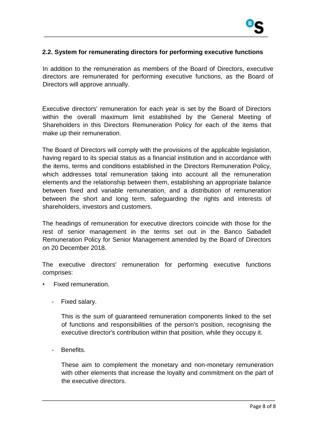

#### **2.2. System for remunerating directors for performing executive functions**

In addition to the remuneration as members of the Board of Directors, executive directors are remunerated for performing executive functions, as the Board of Directors will approve annually.

Executive directors' remuneration for each year is set by the Board of Directors within the overall maximum limit established by the General Meeting of Shareholders in this Directors Remuneration Policy for each of the items that make up their remuneration.

The Board of Directors will comply with the provisions of the applicable legislation, having regard to its special status as a financial institution and in accordance with the items, terms and conditions established in the Directors Remuneration Policy, which addresses total remuneration taking into account all the remuneration elements and the relationship between them, establishing an appropriate balance between fixed and variable remuneration, and a distribution of remuneration between the short and long term, safeguarding the rights and interests of shareholders, investors and customers.

The headings of remuneration for executive directors coincide with those for the rest of senior management in the terms set out in the Banco Sabadell Remuneration Policy for Senior Management amended by the Board of Directors on 20 December 2018.

The executive directors' remuneration for performing executive functions comprises:

- Fixed remuneration.
	- Fixed salary.

This is the sum of guaranteed remuneration components linked to the set of functions and responsibilities of the person's position, recognising the executive director's contribution within that position, while they occupy it.

Benefits.

These aim to complement the monetary and non-monetary remuneration with other elements that increase the loyalty and commitment on the part of the executive directors.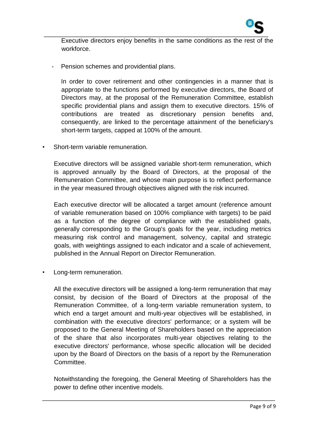

Executive directors enjoy benefits in the same conditions as the rest of the workforce.

- Pension schemes and providential plans.

In order to cover retirement and other contingencies in a manner that is appropriate to the functions performed by executive directors, the Board of Directors may, at the proposal of the Remuneration Committee, establish specific providential plans and assign them to executive directors. 15% of contributions are treated as discretionary pension benefits and, consequently, are linked to the percentage attainment of the beneficiary's short-term targets, capped at 100% of the amount.

• Short-term variable remuneration.

Executive directors will be assigned variable short-term remuneration, which is approved annually by the Board of Directors, at the proposal of the Remuneration Committee, and whose main purpose is to reflect performance in the year measured through objectives aligned with the risk incurred.

Each executive director will be allocated a target amount (reference amount of variable remuneration based on 100% compliance with targets) to be paid as a function of the degree of compliance with the established goals, generally corresponding to the Group's goals for the year, including metrics measuring risk control and management, solvency, capital and strategic goals, with weightings assigned to each indicator and a scale of achievement, published in the Annual Report on Director Remuneration.

Long-term remuneration.

All the executive directors will be assigned a long-term remuneration that may consist, by decision of the Board of Directors at the proposal of the Remuneration Committee, of a long-term variable remuneration system, to which end a target amount and multi-year objectives will be established, in combination with the executive directors' performance; or a system will be proposed to the General Meeting of Shareholders based on the appreciation of the share that also incorporates multi-year objectives relating to the executive directors' performance, whose specific allocation will be decided upon by the Board of Directors on the basis of a report by the Remuneration Committee.

Notwithstanding the foregoing, the General Meeting of Shareholders has the power to define other incentive models.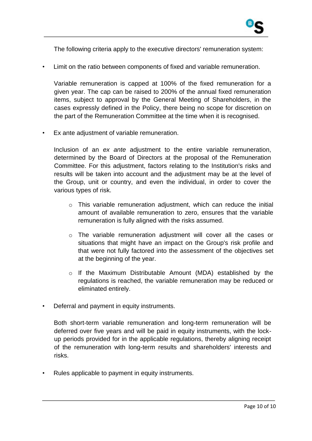The following criteria apply to the executive directors' remuneration system:

Limit on the ratio between components of fixed and variable remuneration.

Variable remuneration is capped at 100% of the fixed remuneration for a given year. The cap can be raised to 200% of the annual fixed remuneration items, subject to approval by the General Meeting of Shareholders, in the cases expressly defined in the Policy, there being no scope for discretion on the part of the Remuneration Committee at the time when it is recognised.

Ex ante adjustment of variable remuneration.

Inclusion of an *ex ante* adjustment to the entire variable remuneration, determined by the Board of Directors at the proposal of the Remuneration Committee. For this adjustment, factors relating to the Institution's risks and results will be taken into account and the adjustment may be at the level of the Group, unit or country, and even the individual, in order to cover the various types of risk.

- o This variable remuneration adjustment, which can reduce the initial amount of available remuneration to zero, ensures that the variable remuneration is fully aligned with the risks assumed.
- $\circ$  The variable remuneration adjustment will cover all the cases or situations that might have an impact on the Group's risk profile and that were not fully factored into the assessment of the objectives set at the beginning of the year.
- o If the Maximum Distributable Amount (MDA) established by the regulations is reached, the variable remuneration may be reduced or eliminated entirely.
- Deferral and payment in equity instruments.

Both short-term variable remuneration and long-term remuneration will be deferred over five years and will be paid in equity instruments, with the lockup periods provided for in the applicable regulations, thereby aligning receipt of the remuneration with long-term results and shareholders' interests and risks.

• Rules applicable to payment in equity instruments.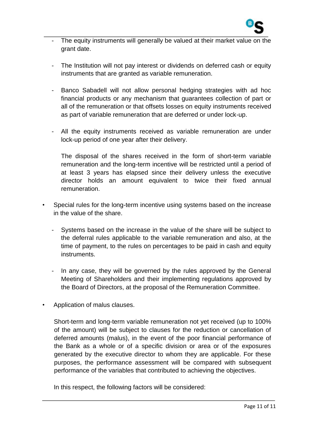

- The equity instruments will generally be valued at their market value on the grant date.
- The Institution will not pay interest or dividends on deferred cash or equity instruments that are granted as variable remuneration.
- Banco Sabadell will not allow personal hedging strategies with ad hoc financial products or any mechanism that guarantees collection of part or all of the remuneration or that offsets losses on equity instruments received as part of variable remuneration that are deferred or under lock-up.
- All the equity instruments received as variable remuneration are under lock-up period of one year after their delivery.

The disposal of the shares received in the form of short-term variable remuneration and the long-term incentive will be restricted until a period of at least 3 years has elapsed since their delivery unless the executive director holds an amount equivalent to twice their fixed annual remuneration.

- Special rules for the long-term incentive using systems based on the increase in the value of the share.
	- Systems based on the increase in the value of the share will be subject to the deferral rules applicable to the variable remuneration and also, at the time of payment, to the rules on percentages to be paid in cash and equity instruments.
	- In any case, they will be governed by the rules approved by the General Meeting of Shareholders and their implementing regulations approved by the Board of Directors, at the proposal of the Remuneration Committee.
- Application of malus clauses.

Short-term and long-term variable remuneration not yet received (up to 100% of the amount) will be subject to clauses for the reduction or cancellation of deferred amounts (malus), in the event of the poor financial performance of the Bank as a whole or of a specific division or area or of the exposures generated by the executive director to whom they are applicable. For these purposes, the performance assessment will be compared with subsequent performance of the variables that contributed to achieving the objectives.

In this respect, the following factors will be considered: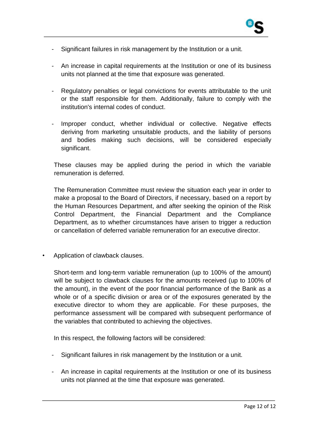

- Significant failures in risk management by the Institution or a unit.
- An increase in capital requirements at the Institution or one of its business units not planned at the time that exposure was generated.
- Regulatory penalties or legal convictions for events attributable to the unit or the staff responsible for them. Additionally, failure to comply with the institution's internal codes of conduct.
- Improper conduct, whether individual or collective. Negative effects deriving from marketing unsuitable products, and the liability of persons and bodies making such decisions, will be considered especially significant.

These clauses may be applied during the period in which the variable remuneration is deferred.

The Remuneration Committee must review the situation each year in order to make a proposal to the Board of Directors, if necessary, based on a report by the Human Resources Department, and after seeking the opinion of the Risk Control Department, the Financial Department and the Compliance Department, as to whether circumstances have arisen to trigger a reduction or cancellation of deferred variable remuneration for an executive director.

• Application of clawback clauses.

Short-term and long-term variable remuneration (up to 100% of the amount) will be subject to clawback clauses for the amounts received (up to 100% of the amount), in the event of the poor financial performance of the Bank as a whole or of a specific division or area or of the exposures generated by the executive director to whom they are applicable. For these purposes, the performance assessment will be compared with subsequent performance of the variables that contributed to achieving the objectives.

In this respect, the following factors will be considered:

- Significant failures in risk management by the Institution or a unit.
- An increase in capital requirements at the Institution or one of its business units not planned at the time that exposure was generated.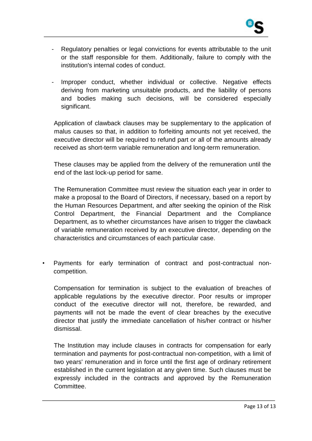

- Regulatory penalties or legal convictions for events attributable to the unit or the staff responsible for them. Additionally, failure to comply with the institution's internal codes of conduct.
- Improper conduct, whether individual or collective. Negative effects deriving from marketing unsuitable products, and the liability of persons and bodies making such decisions, will be considered especially significant.

Application of clawback clauses may be supplementary to the application of malus causes so that, in addition to forfeiting amounts not yet received, the executive director will be required to refund part or all of the amounts already received as short-term variable remuneration and long-term remuneration.

These clauses may be applied from the delivery of the remuneration until the end of the last lock-up period for same.

The Remuneration Committee must review the situation each year in order to make a proposal to the Board of Directors, if necessary, based on a report by the Human Resources Department, and after seeking the opinion of the Risk Control Department, the Financial Department and the Compliance Department, as to whether circumstances have arisen to trigger the clawback of variable remuneration received by an executive director, depending on the characteristics and circumstances of each particular case.

• Payments for early termination of contract and post-contractual noncompetition.

Compensation for termination is subject to the evaluation of breaches of applicable regulations by the executive director. Poor results or improper conduct of the executive director will not, therefore, be rewarded, and payments will not be made the event of clear breaches by the executive director that justify the immediate cancellation of his/her contract or his/her dismissal.

The Institution may include clauses in contracts for compensation for early termination and payments for post-contractual non-competition, with a limit of two years' remuneration and in force until the first age of ordinary retirement established in the current legislation at any given time. Such clauses must be expressly included in the contracts and approved by the Remuneration Committee.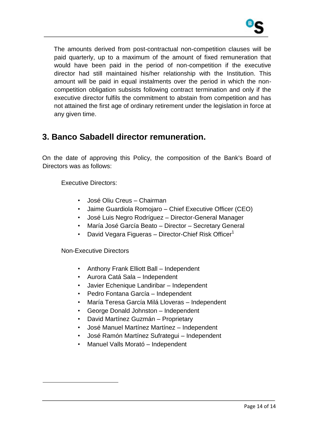

The amounts derived from post-contractual non-competition clauses will be paid quarterly, up to a maximum of the amount of fixed remuneration that would have been paid in the period of non-competition if the executive director had still maintained his/her relationship with the Institution. This amount will be paid in equal instalments over the period in which the noncompetition obligation subsists following contract termination and only if the executive director fulfils the commitment to abstain from competition and has not attained the first age of ordinary retirement under the legislation in force at any given time.

# **3. Banco Sabadell director remuneration.**

On the date of approving this Policy, the composition of the Bank's Board of Directors was as follows:

Executive Directors:

- José Oliu Creus Chairman
- Jaime Guardiola Romojaro Chief Executive Officer (CEO)
- José Luis Negro Rodríguez Director-General Manager
- María José García Beato Director Secretary General
- David Vegara Figueras Director-Chief Risk Officer $1$

Non-Executive Directors

 $\overline{a}$ 

- Anthony Frank Elliott Ball Independent
- Aurora Catá Sala Independent
- Javier Echenique Landiribar Independent
- Pedro Fontana García Independent
- María Teresa García Milá Lloveras Independent
- George Donald Johnston Independent
- David Martínez Guzmán Proprietary
- José Manuel Martínez Martínez Independent
- José Ramón Martínez Sufrategui Independent
- Manuel Valls Morató Independent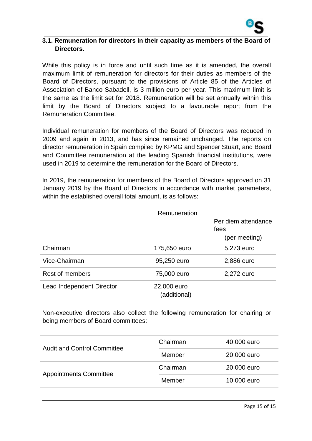

#### **3.1. Remuneration for directors in their capacity as members of the Board of Directors.**

While this policy is in force and until such time as it is amended, the overall maximum limit of remuneration for directors for their duties as members of the Board of Directors, pursuant to the provisions of Article 85 of the Articles of Association of Banco Sabadell, is 3 million euro per year. This maximum limit is the same as the limit set for 2018. Remuneration will be set annually within this limit by the Board of Directors subject to a favourable report from the Remuneration Committee.

Individual remuneration for members of the Board of Directors was reduced in 2009 and again in 2013, and has since remained unchanged. The reports on director remuneration in Spain compiled by KPMG and Spencer Stuart, and Board and Committee remuneration at the leading Spanish financial institutions, were used in 2019 to determine the remuneration for the Board of Directors.

In 2019, the remuneration for members of the Board of Directors approved on 31 January 2019 by the Board of Directors in accordance with market parameters, within the established overall total amount, is as follows:

|                           | Remuneration                |                             |
|---------------------------|-----------------------------|-----------------------------|
|                           |                             | Per diem attendance<br>fees |
|                           |                             | (per meeting)               |
| Chairman                  | 175,650 euro                | 5,273 euro                  |
| Vice-Chairman             | 95,250 euro                 | 2,886 euro                  |
| Rest of members           | 75,000 euro                 | 2,272 euro                  |
| Lead Independent Director | 22,000 euro<br>(additional) |                             |

Non-executive directors also collect the following remuneration for chairing or being members of Board committees:

| <b>Audit and Control Committee</b> | Chairman | 40,000 euro |
|------------------------------------|----------|-------------|
|                                    | Member   | 20,000 euro |
| <b>Appointments Committee</b>      | Chairman | 20,000 euro |
|                                    | Member   | 10,000 euro |
|                                    |          |             |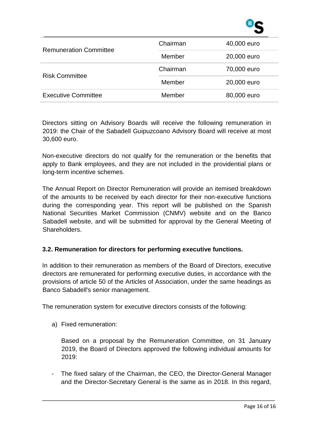

| <b>Remuneration Committee</b> | Chairman              | 40,000 euro |
|-------------------------------|-----------------------|-------------|
|                               | Member<br>20,000 euro |             |
|                               | Chairman              | 70,000 euro |
| <b>Risk Committee</b>         | Member                | 20,000 euro |
| <b>Executive Committee</b>    | Member                | 80,000 euro |

Directors sitting on Advisory Boards will receive the following remuneration in 2019: the Chair of the Sabadell Guipuzcoano Advisory Board will receive at most 30,600 euro.

Non-executive directors do not qualify for the remuneration or the benefits that apply to Bank employees, and they are not included in the providential plans or long-term incentive schemes.

The Annual Report on Director Remuneration will provide an itemised breakdown of the amounts to be received by each director for their non-executive functions during the corresponding year. This report will be published on the Spanish National Securities Market Commission (CNMV) website and on the Banco Sabadell website, and will be submitted for approval by the General Meeting of Shareholders.

#### **3.2. Remuneration for directors for performing executive functions.**

In addition to their remuneration as members of the Board of Directors, executive directors are remunerated for performing executive duties, in accordance with the provisions of article 50 of the Articles of Association, under the same headings as Banco Sabadell's senior management.

The remuneration system for executive directors consists of the following:

a) Fixed remuneration:

Based on a proposal by the Remuneration Committee, on 31 January 2019, the Board of Directors approved the following individual amounts for 2019:

- The fixed salary of the Chairman, the CEO, the Director-General Manager and the Director-Secretary General is the same as in 2018. In this regard,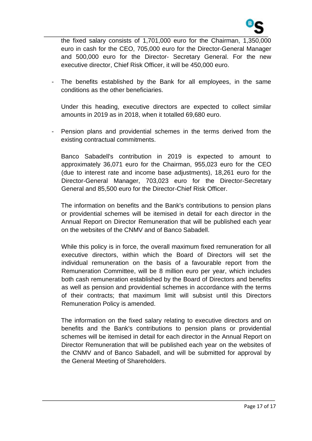

the fixed salary consists of 1,701,000 euro for the Chairman, 1,350,000 euro in cash for the CEO, 705,000 euro for the Director-General Manager and 500,000 euro for the Director- Secretary General. For the new executive director, Chief Risk Officer, it will be 450,000 euro.

The benefits established by the Bank for all employees, in the same conditions as the other beneficiaries.

Under this heading, executive directors are expected to collect similar amounts in 2019 as in 2018, when it totalled 69,680 euro.

Pension plans and providential schemes in the terms derived from the existing contractual commitments.

Banco Sabadell's contribution in 2019 is expected to amount to approximately 36,071 euro for the Chairman, 955,023 euro for the CEO (due to interest rate and income base adjustments), 18,261 euro for the Director-General Manager, 703,023 euro for the Director-Secretary General and 85,500 euro for the Director-Chief Risk Officer.

The information on benefits and the Bank's contributions to pension plans or providential schemes will be itemised in detail for each director in the Annual Report on Director Remuneration that will be published each year on the websites of the CNMV and of Banco Sabadell.

While this policy is in force, the overall maximum fixed remuneration for all executive directors, within which the Board of Directors will set the individual remuneration on the basis of a favourable report from the Remuneration Committee, will be 8 million euro per year, which includes both cash remuneration established by the Board of Directors and benefits as well as pension and providential schemes in accordance with the terms of their contracts; that maximum limit will subsist until this Directors Remuneration Policy is amended.

The information on the fixed salary relating to executive directors and on benefits and the Bank's contributions to pension plans or providential schemes will be itemised in detail for each director in the Annual Report on Director Remuneration that will be published each year on the websites of the CNMV and of Banco Sabadell, and will be submitted for approval by the General Meeting of Shareholders.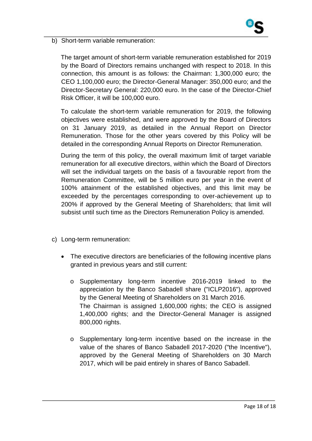

b) Short-term variable remuneration:

The target amount of short-term variable remuneration established for 2019 by the Board of Directors remains unchanged with respect to 2018. In this connection, this amount is as follows: the Chairman: 1,300,000 euro; the CEO 1,100,000 euro; the Director-General Manager: 350,000 euro; and the Director-Secretary General: 220,000 euro. In the case of the Director-Chief Risk Officer, it will be 100,000 euro.

To calculate the short-term variable remuneration for 2019, the following objectives were established, and were approved by the Board of Directors on 31 January 2019, as detailed in the Annual Report on Director Remuneration. Those for the other years covered by this Policy will be detailed in the corresponding Annual Reports on Director Remuneration.

During the term of this policy, the overall maximum limit of target variable remuneration for all executive directors, within which the Board of Directors will set the individual targets on the basis of a favourable report from the Remuneration Committee, will be 5 million euro per year in the event of 100% attainment of the established objectives, and this limit may be exceeded by the percentages corresponding to over-achievement up to 200% if approved by the General Meeting of Shareholders; that limit will subsist until such time as the Directors Remuneration Policy is amended.

- c) Long-term remuneration:
	- The executive directors are beneficiaries of the following incentive plans granted in previous years and still current:
		- o Supplementary long-term incentive 2016-2019 linked to the appreciation by the Banco Sabadell share ("ICLP2016"), approved by the General Meeting of Shareholders on 31 March 2016. The Chairman is assigned 1,600,000 rights; the CEO is assigned 1,400,000 rights; and the Director-General Manager is assigned 800,000 rights.
		- o Supplementary long-term incentive based on the increase in the value of the shares of Banco Sabadell 2017-2020 ("the Incentive"), approved by the General Meeting of Shareholders on 30 March 2017, which will be paid entirely in shares of Banco Sabadell.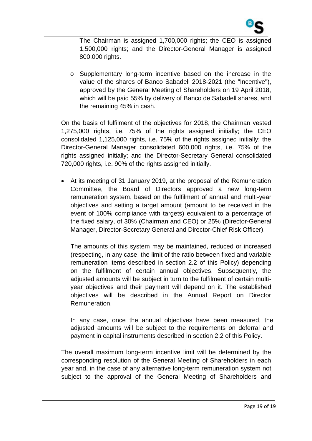

The Chairman is assigned 1,700,000 rights; the CEO is assigned 1,500,000 rights; and the Director-General Manager is assigned 800,000 rights.

o Supplementary long-term incentive based on the increase in the value of the shares of Banco Sabadell 2018-2021 (the "Incentive"), approved by the General Meeting of Shareholders on 19 April 2018, which will be paid 55% by delivery of Banco de Sabadell shares, and the remaining 45% in cash.

On the basis of fulfilment of the objectives for 2018, the Chairman vested 1,275,000 rights, i.e. 75% of the rights assigned initially; the CEO consolidated 1,125,000 rights, i.e. 75% of the rights assigned initially; the Director-General Manager consolidated 600,000 rights, i.e. 75% of the rights assigned initially; and the Director-Secretary General consolidated 720,000 rights, i.e. 90% of the rights assigned initially.

 At its meeting of 31 January 2019, at the proposal of the Remuneration Committee, the Board of Directors approved a new long-term remuneration system, based on the fulfilment of annual and multi-year objectives and setting a target amount (amount to be received in the event of 100% compliance with targets) equivalent to a percentage of the fixed salary, of 30% (Chairman and CEO) or 25% (Director-General Manager, Director-Secretary General and Director-Chief Risk Officer).

The amounts of this system may be maintained, reduced or increased (respecting, in any case, the limit of the ratio between fixed and variable remuneration items described in section 2.2 of this Policy) depending on the fulfilment of certain annual objectives. Subsequently, the adjusted amounts will be subject in turn to the fulfilment of certain multiyear objectives and their payment will depend on it. The established objectives will be described in the Annual Report on Director Remuneration.

In any case, once the annual objectives have been measured, the adjusted amounts will be subject to the requirements on deferral and payment in capital instruments described in section 2.2 of this Policy.

The overall maximum long-term incentive limit will be determined by the corresponding resolution of the General Meeting of Shareholders in each year and, in the case of any alternative long-term remuneration system not subject to the approval of the General Meeting of Shareholders and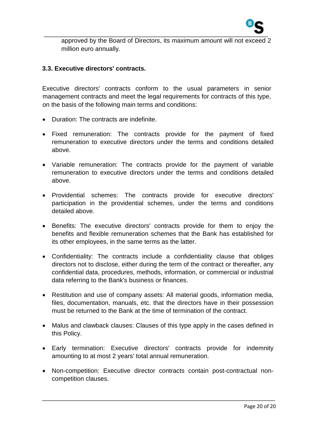

approved by the Board of Directors, its maximum amount will not exceed 2 million euro annually.

#### **3.3. Executive directors' contracts.**

Executive directors' contracts conform to the usual parameters in senior management contracts and meet the legal requirements for contracts of this type, on the basis of the following main terms and conditions:

- Duration: The contracts are indefinite.
- Fixed remuneration: The contracts provide for the payment of fixed remuneration to executive directors under the terms and conditions detailed above.
- Variable remuneration: The contracts provide for the payment of variable remuneration to executive directors under the terms and conditions detailed above.
- Providential schemes: The contracts provide for executive directors' participation in the providential schemes, under the terms and conditions detailed above.
- Benefits: The executive directors' contracts provide for them to enjoy the benefits and flexible remuneration schemes that the Bank has established for its other employees, in the same terms as the latter.
- Confidentiality: The contracts include a confidentiality clause that obliges directors not to disclose, either during the term of the contract or thereafter, any confidential data, procedures, methods, information, or commercial or industrial data referring to the Bank's business or finances.
- Restitution and use of company assets: All material goods, information media, files, documentation, manuals, etc. that the directors have in their possession must be returned to the Bank at the time of termination of the contract.
- Malus and clawback clauses: Clauses of this type apply in the cases defined in this Policy.
- Early termination: Executive directors' contracts provide for indemnity amounting to at most 2 years' total annual remuneration.
- Non-competition: Executive director contracts contain post-contractual noncompetition clauses.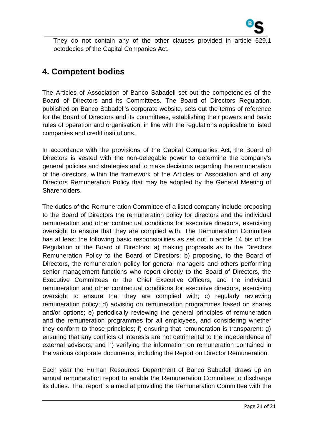

They do not contain any of the other clauses provided in article 529.1 octodecies of the Capital Companies Act.

# **4. Competent bodies**

The Articles of Association of Banco Sabadell set out the competencies of the Board of Directors and its Committees. The Board of Directors Regulation, published on Banco Sabadell's corporate website, sets out the terms of reference for the Board of Directors and its committees, establishing their powers and basic rules of operation and organisation, in line with the regulations applicable to listed companies and credit institutions.

In accordance with the provisions of the Capital Companies Act, the Board of Directors is vested with the non-delegable power to determine the company's general policies and strategies and to make decisions regarding the remuneration of the directors, within the framework of the Articles of Association and of any Directors Remuneration Policy that may be adopted by the General Meeting of Shareholders.

The duties of the Remuneration Committee of a listed company include proposing to the Board of Directors the remuneration policy for directors and the individual remuneration and other contractual conditions for executive directors, exercising oversight to ensure that they are complied with. The Remuneration Committee has at least the following basic responsibilities as set out in article 14 bis of the Regulation of the Board of Directors: a) making proposals as to the Directors Remuneration Policy to the Board of Directors; b) proposing, to the Board of Directors, the remuneration policy for general managers and others performing senior management functions who report directly to the Board of Directors, the Executive Committees or the Chief Executive Officers, and the individual remuneration and other contractual conditions for executive directors, exercising oversight to ensure that they are complied with; c) regularly reviewing remuneration policy; d) advising on remuneration programmes based on shares and/or options; e) periodically reviewing the general principles of remuneration and the remuneration programmes for all employees, and considering whether they conform to those principles; f) ensuring that remuneration is transparent; g) ensuring that any conflicts of interests are not detrimental to the independence of external advisors; and h) verifying the information on remuneration contained in the various corporate documents, including the Report on Director Remuneration.

Each year the Human Resources Department of Banco Sabadell draws up an annual remuneration report to enable the Remuneration Committee to discharge its duties. That report is aimed at providing the Remuneration Committee with the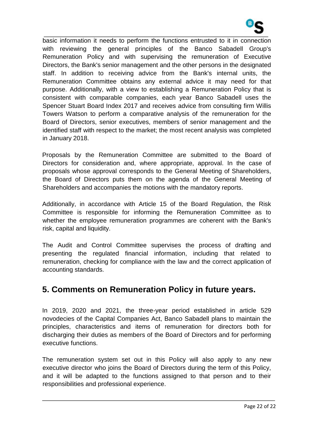

basic information it needs to perform the functions entrusted to it in connection with reviewing the general principles of the Banco Sabadell Group's Remuneration Policy and with supervising the remuneration of Executive Directors, the Bank's senior management and the other persons in the designated staff. In addition to receiving advice from the Bank's internal units, the Remuneration Committee obtains any external advice it may need for that purpose. Additionally, with a view to establishing a Remuneration Policy that is consistent with comparable companies, each year Banco Sabadell uses the Spencer Stuart Board Index 2017 and receives advice from consulting firm Willis Towers Watson to perform a comparative analysis of the remuneration for the Board of Directors, senior executives, members of senior management and the identified staff with respect to the market; the most recent analysis was completed in January 2018.

Proposals by the Remuneration Committee are submitted to the Board of Directors for consideration and, where appropriate, approval. In the case of proposals whose approval corresponds to the General Meeting of Shareholders, the Board of Directors puts them on the agenda of the General Meeting of Shareholders and accompanies the motions with the mandatory reports.

Additionally, in accordance with Article 15 of the Board Regulation, the Risk Committee is responsible for informing the Remuneration Committee as to whether the employee remuneration programmes are coherent with the Bank's risk, capital and liquidity.

The Audit and Control Committee supervises the process of drafting and presenting the regulated financial information, including that related to remuneration, checking for compliance with the law and the correct application of accounting standards.

# **5. Comments on Remuneration Policy in future years.**

In 2019, 2020 and 2021, the three-year period established in article 529 novodecies of the Capital Companies Act, Banco Sabadell plans to maintain the principles, characteristics and items of remuneration for directors both for discharging their duties as members of the Board of Directors and for performing executive functions.

The remuneration system set out in this Policy will also apply to any new executive director who joins the Board of Directors during the term of this Policy, and it will be adapted to the functions assigned to that person and to their responsibilities and professional experience.